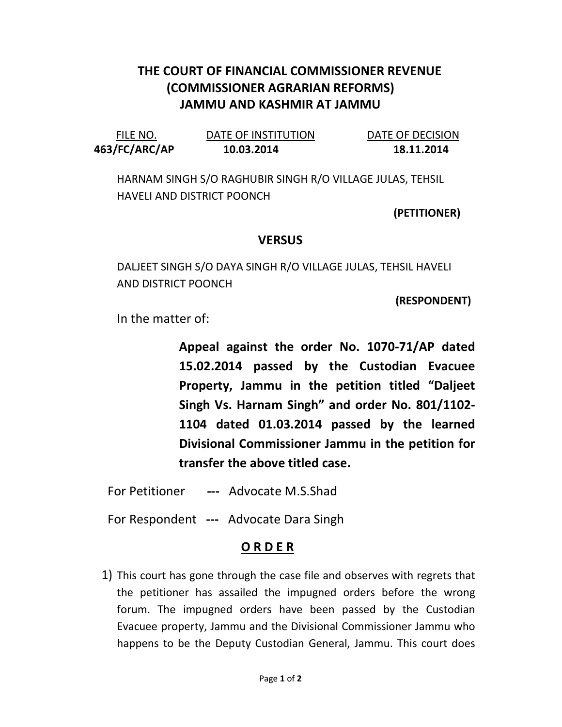## THE COURT OF FINANCIAL COMMISSIONER REVENUE (COMMISSIONER AGRARIAN REFORMS) JAMMU AND KASHMIR AT JAMMU

| FILE NO.      | DATE OF INSTITUTION | DATE OF DECISION |
|---------------|---------------------|------------------|
| 463/FC/ARC/AP | 10.03.2014          | 18.11.2014       |

HARNAM SINGH S/O RAGHUBIR SINGH R/O VILLAGE JULAS, TEHSIL HAVELI AND DISTRICT POONCH

(PETITIONER)

## **VERSUS**

DALJEET SINGH S/O DAYA SINGH R/O VILLAGE JULAS, TEHSIL HAVELI AND DISTRICT POONCH

(RESPONDENT)

In the matter of:

Appeal against the order No. 1070-71/AP dated 15.02.2014 passed by the Custodian Evacuee Property, Jammu in the petition titled "Daljeet Singh Vs. Harnam Singh" and order No. 801/1102- 1104 dated 01.03.2014 passed by the learned Divisional Commissioner Jammu in the petition for transfer the above titled case.

For Petitioner --- Advocate M.S.Shad

For Respondent --- Advocate Dara Singh

## O R D E R

1) This court has gone through the case file and observes with regrets that the petitioner has assailed the impugned orders before the wrong forum. The impugned orders have been passed by the Custodian Evacuee property, Jammu and the Divisional Commissioner Jammu who happens to be the Deputy Custodian General, Jammu. This court does